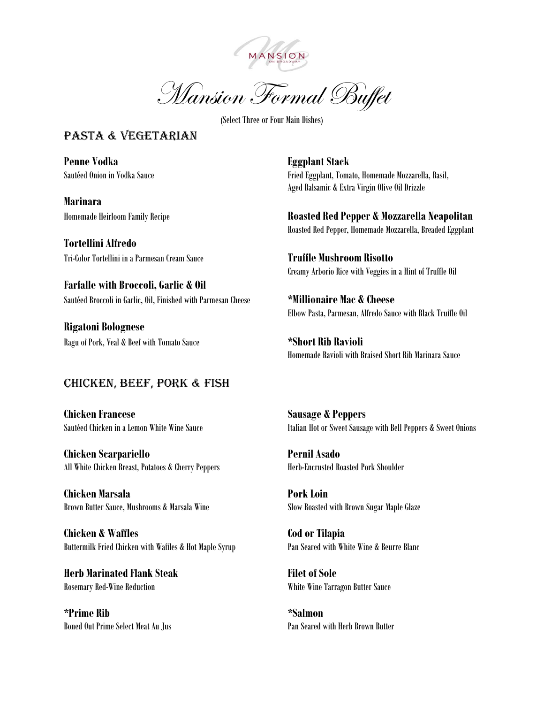

Mansion Formal Buffet

(Select Three or Four Main Dishes)

## PASTA & VEGETARIAN

**Penne Vodka Eggplant Stack**

**Marinara**

**Tortellini Alfredo** Tri-Color Tortellini in a Parmesan Cream Sauce **Truffle Mushroom Risotto**

**Farfalle with Broccoli, Garlic & Oil** Sautéed Broccoli in Garlic, Oil, Finished with Parmesan Cheese **\*Millionaire Mac & Cheese**

**Rigatoni Bolognese** Ragu of Pork, Veal & Beef with Tomato Sauce **\*Short Rib Ravioli**

## Chicken, beef, pork & fish

**Chicken Francese Sausage & Peppers**

**Chicken Scarpariello Pernil Asado** All White Chicken Breast, Potatoes & Cherry Peppers Herb-Encrusted Roasted Pork Shoulder

**Chicken Marsala Pork Loin** Brown Butter Sauce, Mushrooms & Marsala Wine Slow Roasted with Brown Sugar Maple Glaze

**Chicken & Waffles Cod or Tilapia** Buttermilk Fried Chicken with Waffles & Hot Maple Syrup Pan Seared with White Wine & Beurre Blanc

**Herb Marinated Flank Steak Filet of Sole** Rosemary Red-Wine Reduction White Wine Tarragon Butter Sauce

**\*Prime Rib \*Salmon** Boned Out Prime Select Meat Au Jus Pan Seared with Herb Brown Butter

Sautéed Onion in Vodka Sauce Fried Eggplant, Tomato, Homemade Mozzarella, Basil, Aged Balsamic & Extra Virgin Olive Oil Drizzle

Homemade Heirloom Family Recipe **Roasted Red Pepper & Mozzarella Neapolitan** Roasted Red Pepper, Homemade Mozzarella, Breaded Eggplant

Creamy Arborio Rice with Veggies in a Hint of Truffle Oil

Elbow Pasta, Parmesan, Alfredo Sauce with Black Truffle Oil

Homemade Ravioli with Braised Short Rib Marinara Sauce

Sautéed Chicken in a Lemon White Wine Sauce Italian Hot or Sweet Sausage with Bell Peppers & Sweet Onions